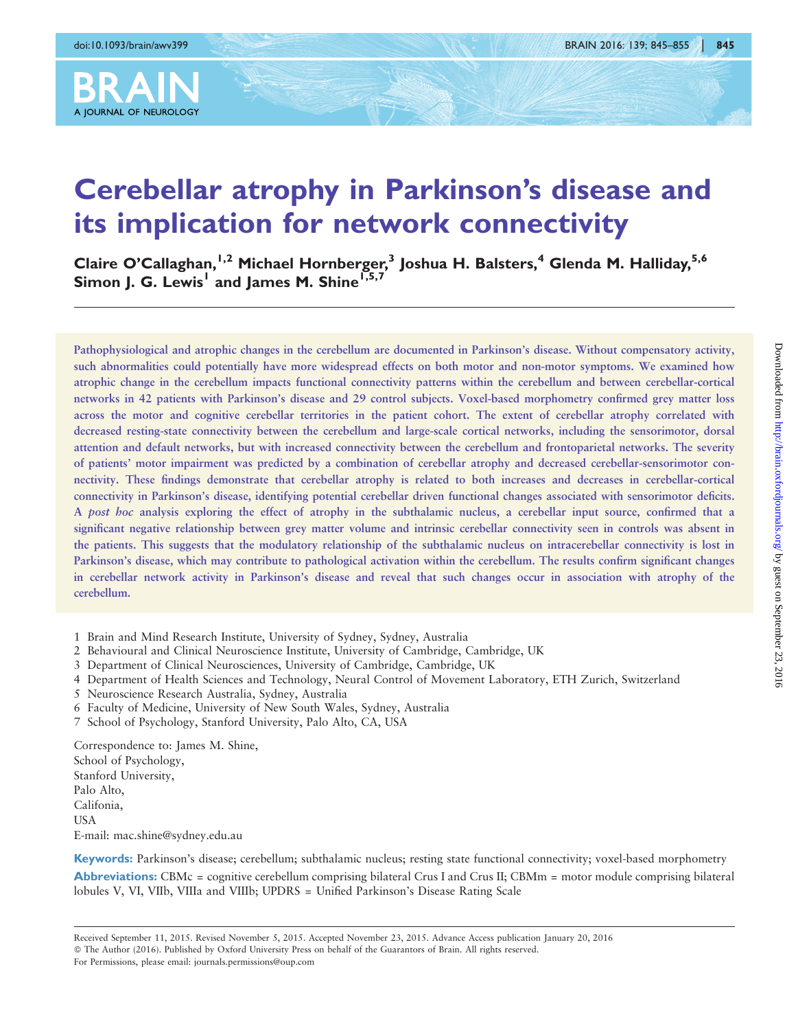A JOURNAL OF NEUROLOGY



#### doi:10.1093/brain/awv399 BRAIN 2016: 139; 845–855 | 845

# Cerebellar atrophy in Parkinson's disease and its implication for network connectivity

Claire O'Callaghan,<sup>1,2</sup> Michael Hornberger,<sup>3</sup> Joshua H. Balsters,<sup>4</sup> Glenda M. Halliday,<sup>5,6</sup> Simon J. G. Lewis<sup>1</sup> and James M. Shine<sup>1,5,7</sup>

Pathophysiological and atrophic changes in the cerebellum are documented in Parkinson's disease. Without compensatory activity, such abnormalities could potentially have more widespread effects on both motor and non-motor symptoms. We examined how atrophic change in the cerebellum impacts functional connectivity patterns within the cerebellum and between cerebellar-cortical networks in 42 patients with Parkinson's disease and 29 control subjects. Voxel-based morphometry confirmed grey matter loss across the motor and cognitive cerebellar territories in the patient cohort. The extent of cerebellar atrophy correlated with decreased resting-state connectivity between the cerebellum and large-scale cortical networks, including the sensorimotor, dorsal attention and default networks, but with increased connectivity between the cerebellum and frontoparietal networks. The severity of patients' motor impairment was predicted by a combination of cerebellar atrophy and decreased cerebellar-sensorimotor connectivity. These findings demonstrate that cerebellar atrophy is related to both increases and decreases in cerebellar-cortical connectivity in Parkinson's disease, identifying potential cerebellar driven functional changes associated with sensorimotor deficits. A post hoc analysis exploring the effect of atrophy in the subthalamic nucleus, a cerebellar input source, confirmed that a significant negative relationship between grey matter volume and intrinsic cerebellar connectivity seen in controls was absent in the patients. This suggests that the modulatory relationship of the subthalamic nucleus on intracerebellar connectivity is lost in Parkinson's disease, which may contribute to pathological activation within the cerebellum. The results confirm significant changes in cerebellar network activity in Parkinson's disease and reveal that such changes occur in association with atrophy of the cerebellum.

- 1 Brain and Mind Research Institute, University of Sydney, Sydney, Australia
- 2 Behavioural and Clinical Neuroscience Institute, University of Cambridge, Cambridge, UK
- 3 Department of Clinical Neurosciences, University of Cambridge, Cambridge, UK
- 4 Department of Health Sciences and Technology, Neural Control of Movement Laboratory, ETH Zurich, Switzerland
- 5 Neuroscience Research Australia, Sydney, Australia
- 6 Faculty of Medicine, University of New South Wales, Sydney, Australia
- 7 School of Psychology, Stanford University, Palo Alto, CA, USA

Correspondence to: James M. Shine, School of Psychology, Stanford University, Palo Alto, Califonia, **USA** E-mail: mac.shine@sydney.edu.au

Keywords: Parkinson's disease; cerebellum; subthalamic nucleus; resting state functional connectivity; voxel-based morphometry Abbreviations: CBMc = cognitive cerebellum comprising bilateral Crus I and Crus II; CBMm = motor module comprising bilateral lobules V, VI, VIIb, VIIIa and VIIIb; UPDRS = Unified Parkinson's Disease Rating Scale

Received September 11, 2015. Revised November 5, 2015. Accepted November 23, 2015. Advance Access publication January 20, 2016 - The Author (2016). Published by Oxford University Press on behalf of the Guarantors of Brain. All rights reserved. For Permissions, please email: journals.permissions@oup.com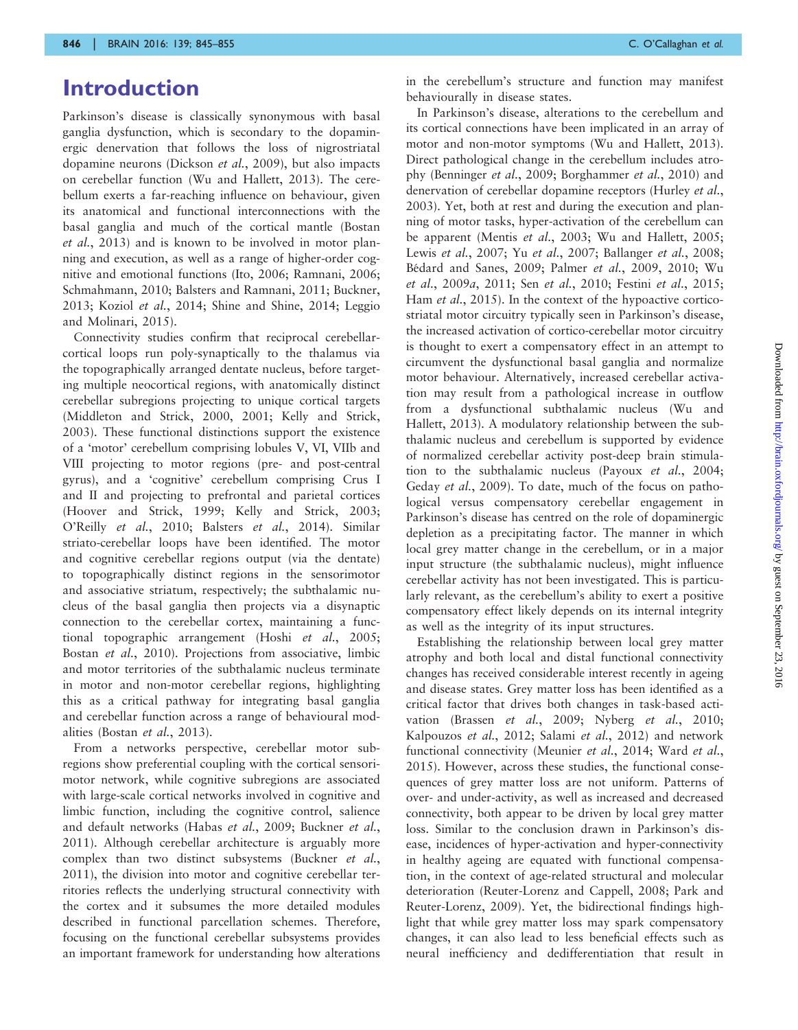### Introduction

Parkinson's disease is classically synonymous with basal ganglia dysfunction, which is secondary to the dopaminergic denervation that follows the loss of nigrostriatal dopamine neurons ([Dickson](#page-9-0) et al., 2009), but also impacts on cerebellar function ([Wu and Hallett, 2013\)](#page-10-0). The cerebellum exerts a far-reaching influence on behaviour, given its anatomical and functional interconnections with the basal ganglia and much of the cortical mantle ([Bostan](#page-9-0) et al.[, 2013\)](#page-9-0) and is known to be involved in motor planning and execution, as well as a range of higher-order cognitive and emotional functions ([Ito, 2006](#page-9-0); [Ramnani, 2006;](#page-10-0) [Schmahmann, 2010](#page-10-0); [Balsters and Ramnani, 2011; Buckner,](#page-9-0) [2013](#page-9-0); Koziol et al.[, 2014;](#page-9-0) [Shine and Shine, 2014](#page-10-0); [Leggio](#page-9-0) [and Molinari, 2015](#page-9-0)).

Connectivity studies confirm that reciprocal cerebellarcortical loops run poly-synaptically to the thalamus via the topographically arranged dentate nucleus, before targeting multiple neocortical regions, with anatomically distinct cerebellar subregions projecting to unique cortical targets [\(Middleton and Strick, 2000, 2001;](#page-10-0) [Kelly and Strick,](#page-9-0) [2003](#page-9-0)). These functional distinctions support the existence of a 'motor' cerebellum comprising lobules V, VI, VIIb and VIII projecting to motor regions (pre- and post-central gyrus), and a 'cognitive' cerebellum comprising Crus I and II and projecting to prefrontal and parietal cortices [\(Hoover and Strick, 1999; Kelly and Strick, 2003;](#page-9-0) [O'Reilly](#page-10-0) et al., 2010; Balsters et al.[, 2014](#page-8-0)). Similar striato-cerebellar loops have been identified. The motor and cognitive cerebellar regions output (via the dentate) to topographically distinct regions in the sensorimotor and associative striatum, respectively; the subthalamic nucleus of the basal ganglia then projects via a disynaptic connection to the cerebellar cortex, maintaining a functional topographic arrangement (Hoshi et al.[, 2005;](#page-9-0) Bostan et al.[, 2010](#page-9-0)). Projections from associative, limbic and motor territories of the subthalamic nucleus terminate in motor and non-motor cerebellar regions, highlighting this as a critical pathway for integrating basal ganglia and cerebellar function across a range of behavioural modalities [\(Bostan](#page-9-0) et al., 2013).

From a networks perspective, cerebellar motor subregions show preferential coupling with the cortical sensorimotor network, while cognitive subregions are associated with large-scale cortical networks involved in cognitive and limbic function, including the cognitive control, salience and default networks (Habas et al.[, 2009; Buckner](#page-9-0) et al., [2011](#page-9-0)). Although cerebellar architecture is arguably more complex than two distinct subsystems [\(Buckner](#page-9-0) et al., [2011](#page-9-0)), the division into motor and cognitive cerebellar territories reflects the underlying structural connectivity with the cortex and it subsumes the more detailed modules described in functional parcellation schemes. Therefore, focusing on the functional cerebellar subsystems provides an important framework for understanding how alterations in the cerebellum's structure and function may manifest behaviourally in disease states.

In Parkinson's disease, alterations to the cerebellum and its cortical connections have been implicated in an array of motor and non-motor symptoms ([Wu and Hallett, 2013](#page-10-0)). Direct pathological change in the cerebellum includes atrophy ([Benninger](#page-9-0) et al., 2009; [Borghammer](#page-9-0) et al., 2010) and denervation of cerebellar dopamine receptors [\(Hurley](#page-9-0) et al., [2003\)](#page-9-0). Yet, both at rest and during the execution and planning of motor tasks, hyper-activation of the cerebellum can be apparent [\(Mentis](#page-10-0) et al., 2003; [Wu and Hallett, 2005](#page-10-0); Lewis et al.[, 2007](#page-9-0); Yu et al.[, 2007](#page-10-0); [Ballanger](#page-8-0) et al., 2008; Bédard and Sanes, 2009; [Palmer](#page-10-0) et al., 2009, [2010](#page-10-0); [Wu](#page-10-0) et al.[, 2009](#page-10-0)a, [2011](#page-10-0); Sen et al.[, 2010](#page-10-0); Festini et al.[, 2015](#page-9-0); Ham *et al.*[, 2015](#page-9-0)). In the context of the hypoactive corticostriatal motor circuitry typically seen in Parkinson's disease, the increased activation of cortico-cerebellar motor circuitry is thought to exert a compensatory effect in an attempt to circumvent the dysfunctional basal ganglia and normalize motor behaviour. Alternatively, increased cerebellar activation may result from a pathological increase in outflow from a dysfunctional subthalamic nucleus [\(Wu and](#page-10-0) [Hallett, 2013\)](#page-10-0). A modulatory relationship between the subthalamic nucleus and cerebellum is supported by evidence of normalized cerebellar activity post-deep brain stimulation to the subthalamic nucleus [\(Payoux](#page-10-0) et al., 2004; Geday *et al.*[, 2009](#page-9-0)). To date, much of the focus on pathological versus compensatory cerebellar engagement in Parkinson's disease has centred on the role of dopaminergic depletion as a precipitating factor. The manner in which local grey matter change in the cerebellum, or in a major input structure (the subthalamic nucleus), might influence cerebellar activity has not been investigated. This is particularly relevant, as the cerebellum's ability to exert a positive compensatory effect likely depends on its internal integrity as well as the integrity of its input structures.

Establishing the relationship between local grey matter atrophy and both local and distal functional connectivity changes has received considerable interest recently in ageing and disease states. Grey matter loss has been identified as a critical factor that drives both changes in task-based acti-vation (Brassen et al.[, 2009;](#page-9-0) Nyberg et al.[, 2010](#page-10-0); [Kalpouzos](#page-9-0) et al.[, 2012](#page-10-0); Salami et al., 2012) and network functional connectivity ([Meunier](#page-10-0) et al., 2014; [Ward](#page-10-0) et al., [2015\)](#page-10-0). However, across these studies, the functional consequences of grey matter loss are not uniform. Patterns of over- and under-activity, as well as increased and decreased connectivity, both appear to be driven by local grey matter loss. Similar to the conclusion drawn in Parkinson's disease, incidences of hyper-activation and hyper-connectivity in healthy ageing are equated with functional compensation, in the context of age-related structural and molecular deterioration ([Reuter-Lorenz and Cappell, 2008](#page-10-0); [Park and](#page-10-0) [Reuter-Lorenz, 2009\)](#page-10-0). Yet, the bidirectional findings highlight that while grey matter loss may spark compensatory changes, it can also lead to less beneficial effects such as neural inefficiency and dedifferentiation that result in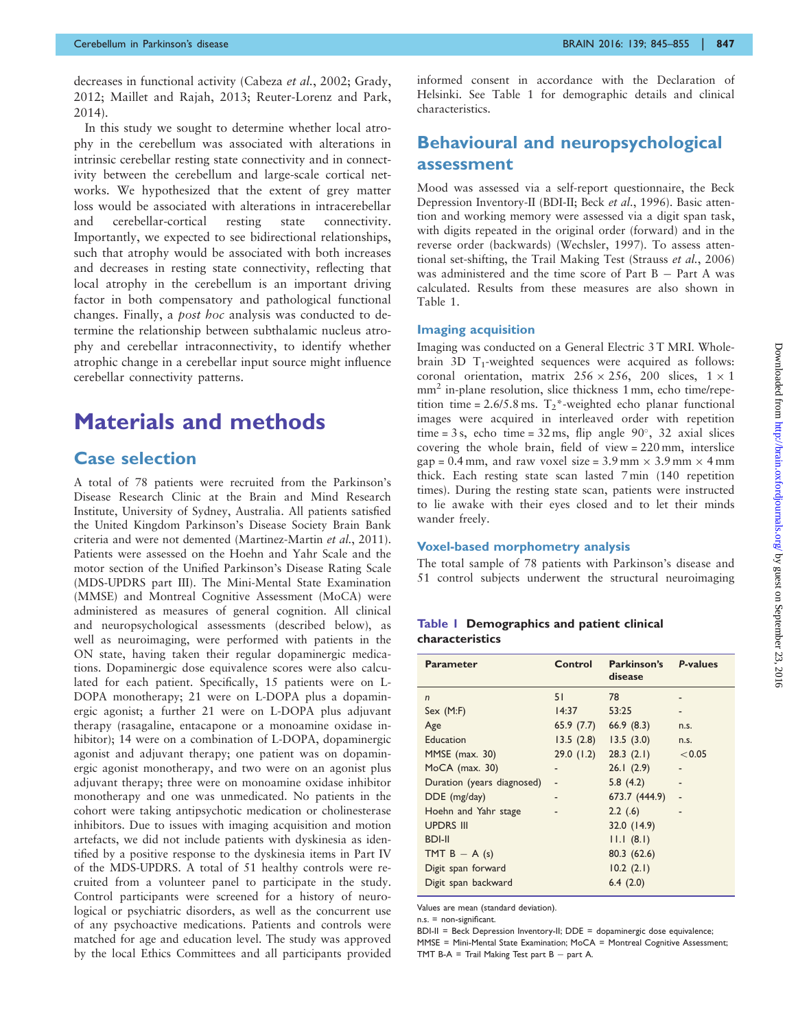decreases in functional activity ([Cabeza](#page-9-0) et al., 2002; [Grady,](#page-9-0) [2012; Maillet and Rajah, 2013;](#page-9-0) [Reuter-Lorenz and Park,](#page-10-0) [2014\)](#page-10-0).

In this study we sought to determine whether local atrophy in the cerebellum was associated with alterations in intrinsic cerebellar resting state connectivity and in connectivity between the cerebellum and large-scale cortical networks. We hypothesized that the extent of grey matter loss would be associated with alterations in intracerebellar and cerebellar-cortical resting state connectivity. Importantly, we expected to see bidirectional relationships, such that atrophy would be associated with both increases and decreases in resting state connectivity, reflecting that local atrophy in the cerebellum is an important driving factor in both compensatory and pathological functional changes. Finally, a post hoc analysis was conducted to determine the relationship between subthalamic nucleus atrophy and cerebellar intraconnectivity, to identify whether atrophic change in a cerebellar input source might influence cerebellar connectivity patterns.

## Materials and methods

### Case selection

A total of 78 patients were recruited from the Parkinson's Disease Research Clinic at the Brain and Mind Research Institute, University of Sydney, Australia. All patients satisfied the United Kingdom Parkinson's Disease Society Brain Bank criteria and were not demented [\(Martinez-Martin](#page-9-0) et al., 2011). Patients were assessed on the Hoehn and Yahr Scale and the motor section of the Unified Parkinson's Disease Rating Scale (MDS-UPDRS part III). The Mini-Mental State Examination (MMSE) and Montreal Cognitive Assessment (MoCA) were administered as measures of general cognition. All clinical and neuropsychological assessments (described below), as well as neuroimaging, were performed with patients in the ON state, having taken their regular dopaminergic medications. Dopaminergic dose equivalence scores were also calculated for each patient. Specifically, 15 patients were on L-DOPA monotherapy; 21 were on L-DOPA plus a dopaminergic agonist; a further 21 were on L-DOPA plus adjuvant therapy (rasagaline, entacapone or a monoamine oxidase inhibitor); 14 were on a combination of L-DOPA, dopaminergic agonist and adjuvant therapy; one patient was on dopaminergic agonist monotherapy, and two were on an agonist plus adjuvant therapy; three were on monoamine oxidase inhibitor monotherapy and one was unmedicated. No patients in the cohort were taking antipsychotic medication or cholinesterase inhibitors. Due to issues with imaging acquisition and motion artefacts, we did not include patients with dyskinesia as identified by a positive response to the dyskinesia items in Part IV of the MDS-UPDRS. A total of 51 healthy controls were recruited from a volunteer panel to participate in the study. Control participants were screened for a history of neurological or psychiatric disorders, as well as the concurrent use of any psychoactive medications. Patients and controls were matched for age and education level. The study was approved by the local Ethics Committees and all participants provided informed consent in accordance with the Declaration of Helsinki. See Table 1 for demographic details and clinical characteristics.

### Behavioural and neuropsychological assessment

Mood was assessed via a self-report questionnaire, the Beck Depression Inventory-II (BDI-II; Beck et al.[, 1996\)](#page-9-0). Basic attention and working memory were assessed via a digit span task, with digits repeated in the original order (forward) and in the reverse order (backwards) [\(Wechsler, 1997\)](#page-10-0). To assess attentional set-shifting, the Trail Making Test [\(Strauss](#page-10-0) et al., 2006) was administered and the time score of Part  $B -$  Part  $A$  was calculated. Results from these measures are also shown in Table 1.

#### Imaging acquisition

Imaging was conducted on a General Electric 3 T MRI. Wholebrain 3D  $T_1$ -weighted sequences were acquired as follows: coronal orientation, matrix  $256 \times 256$ , 200 slices,  $1 \times 1$  $mm<sup>2</sup>$  in-plane resolution, slice thickness 1 mm, echo time/repetition time =  $2.6/5.8$  ms.  $T_2^*$ -weighted echo planar functional images were acquired in interleaved order with repetition time = 3 s, echo time =  $32 \text{ ms}$ , flip angle  $90^{\circ}$ ,  $32$  axial slices covering the whole brain, field of view = 220 mm, interslice gap = 0.4 mm, and raw voxel size =  $3.9$  mm  $\times$  3.9 mm  $\times$  4 mm thick. Each resting state scan lasted 7 min (140 repetition times). During the resting state scan, patients were instructed to lie awake with their eyes closed and to let their minds wander freely.

#### Voxel-based morphometry analysis

The total sample of 78 patients with Parkinson's disease and 51 control subjects underwent the structural neuroimaging

#### Table 1 Demographics and patient clinical characteristics

| <b>Parameter</b>           | Control                  | Parkinson's<br>disease    | <b>P-values</b> |
|----------------------------|--------------------------|---------------------------|-----------------|
| $\mathsf{n}$               | 51                       | 78                        |                 |
| Sex (M: F)                 | 14:37                    | 53:25                     |                 |
| Age                        |                          | $65.9$ (7.7) $66.9$ (8.3) | n.s.            |
| Education                  |                          | $13.5(2.8)$ $13.5(3.0)$   | n.s.            |
| MMSE (max. 30)             | 29.0(1.2)                | $28.3$ $(2.1)$            | < 0.05          |
| MoCA (max. 30)             | -                        | 26.1(2.9)                 |                 |
| Duration (years diagnosed) | $\overline{\phantom{0}}$ | 5.8(4.2)                  | -               |
| DDE (mg/day)               | -                        | 673.7 (444.9)             |                 |
| Hoehn and Yahr stage       |                          | $2.2$ (.6)                |                 |
| <b>UPDRS III</b>           |                          | 32.0(14.9)                |                 |
| <b>BDI-II</b>              |                          | 11.1(8.1)                 |                 |
| TMT $B - A(s)$             |                          | 80.3 (62.6)               |                 |
| Digit span forward         |                          | $10.2$ $(2.1)$            |                 |
| Digit span backward        |                          | 6.4(2.0)                  |                 |

Values are mean (standard deviation).

n.s. = non-significant.

BDI-II = Beck Depression Inventory-II; DDE = dopaminergic dose equivalence;

MMSE = Mini-Mental State Examination; MoCA = Montreal Cognitive Assessment;  $TMT$  B-A = Trail Making Test part B  $-$  part A.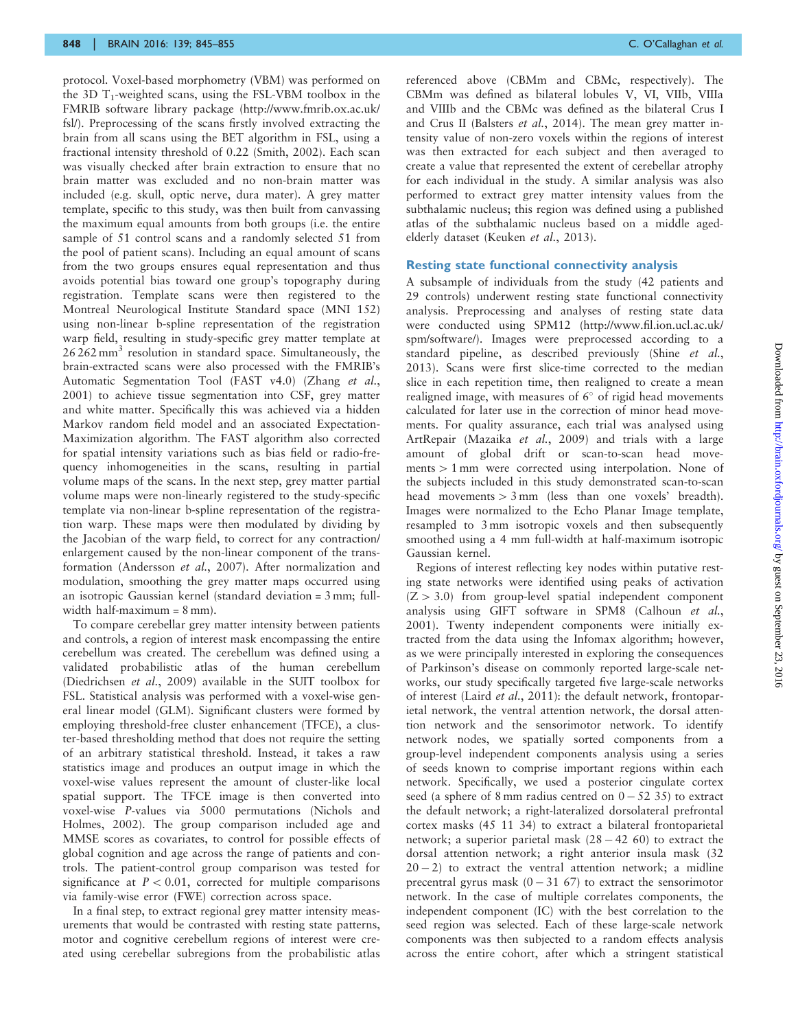protocol. Voxel-based morphometry (VBM) was performed on the 3D  $T_1$ -weighted scans, using the FSL-VBM toolbox in the FMRIB software library package ([http://www.fmrib.ox.ac.uk/](http://www.fmrib.ox.ac.uk/fsl/) [fsl/](http://www.fmrib.ox.ac.uk/fsl/)). Preprocessing of the scans firstly involved extracting the brain from all scans using the BET algorithm in FSL, using a fractional intensity threshold of 0.22 [\(Smith, 2002\)](#page-10-0). Each scan was visually checked after brain extraction to ensure that no brain matter was excluded and no non-brain matter was included (e.g. skull, optic nerve, dura mater). A grey matter template, specific to this study, was then built from canvassing the maximum equal amounts from both groups (i.e. the entire sample of 51 control scans and a randomly selected 51 from the pool of patient scans). Including an equal amount of scans from the two groups ensures equal representation and thus avoids potential bias toward one group's topography during registration. Template scans were then registered to the Montreal Neurological Institute Standard space (MNI 152) using non-linear b-spline representation of the registration warp field, resulting in study-specific grey matter template at  $26262$  mm<sup>3</sup> resolution in standard space. Simultaneously, the brain-extracted scans were also processed with the FMRIB's Automatic Segmentation Tool (FAST v4.0) [\(Zhang](#page-10-0) et al., [2001\)](#page-10-0) to achieve tissue segmentation into CSF, grey matter and white matter. Specifically this was achieved via a hidden Markov random field model and an associated Expectation-Maximization algorithm. The FAST algorithm also corrected for spatial intensity variations such as bias field or radio-frequency inhomogeneities in the scans, resulting in partial volume maps of the scans. In the next step, grey matter partial volume maps were non-linearly registered to the study-specific template via non-linear b-spline representation of the registration warp. These maps were then modulated by dividing by the Jacobian of the warp field, to correct for any contraction/ enlargement caused by the non-linear component of the transformation ([Andersson](#page-8-0) et al., 2007). After normalization and modulation, smoothing the grey matter maps occurred using an isotropic Gaussian kernel (standard deviation = 3 mm; fullwidth half-maximum = 8 mm).

To compare cerebellar grey matter intensity between patients and controls, a region of interest mask encompassing the entire cerebellum was created. The cerebellum was defined using a validated probabilistic atlas of the human cerebellum [\(Diedrichsen](#page-9-0) et al., 2009) available in the SUIT toolbox for FSL. Statistical analysis was performed with a voxel-wise general linear model (GLM). Significant clusters were formed by employing threshold-free cluster enhancement (TFCE), a cluster-based thresholding method that does not require the setting of an arbitrary statistical threshold. Instead, it takes a raw statistics image and produces an output image in which the voxel-wise values represent the amount of cluster-like local spatial support. The TFCE image is then converted into voxel-wise P-values via 5000 permutations [\(Nichols and](#page-10-0) [Holmes, 2002](#page-10-0)). The group comparison included age and MMSE scores as covariates, to control for possible effects of global cognition and age across the range of patients and controls. The patient-control group comparison was tested for significance at  $P < 0.01$ , corrected for multiple comparisons via family-wise error (FWE) correction across space.

In a final step, to extract regional grey matter intensity measurements that would be contrasted with resting state patterns, motor and cognitive cerebellum regions of interest were created using cerebellar subregions from the probabilistic atlas

referenced above (CBMm and CBMc, respectively). The CBMm was defined as bilateral lobules V, VI, VIIb, VIIIa and VIIIb and the CBMc was defined as the bilateral Crus I and Crus II ([Balsters](#page-8-0) *et al.*, 2014). The mean grey matter intensity value of non-zero voxels within the regions of interest was then extracted for each subject and then averaged to create a value that represented the extent of cerebellar atrophy for each individual in the study. A similar analysis was also performed to extract grey matter intensity values from the subthalamic nucleus; this region was defined using a published atlas of the subthalamic nucleus based on a middle agedelderly dataset ([Keuken](#page-9-0) et al., 2013).

#### Resting state functional connectivity analysis

A subsample of individuals from the study (42 patients and 29 controls) underwent resting state functional connectivity analysis. Preprocessing and analyses of resting state data were conducted using SPM12 [\(http://www.fil.ion.ucl.ac.uk/](http://www.fil.ion.ucl.ac.uk/spm/software/) [spm/software/\)](http://www.fil.ion.ucl.ac.uk/spm/software/). Images were preprocessed according to a standard pipeline, as described previously (Shine [et al.](#page-10-0), [2013\)](#page-10-0). Scans were first slice-time corrected to the median slice in each repetition time, then realigned to create a mean realigned image, with measures of  $6^{\circ}$  of rigid head movements calculated for later use in the correction of minor head movements. For quality assurance, each trial was analysed using ArtRepair [\(Mazaika](#page-9-0) et al., 2009) and trials with a large amount of global drift or scan-to-scan head movements > 1 mm were corrected using interpolation. None of the subjects included in this study demonstrated scan-to-scan head movements  $> 3 \text{ mm}$  (less than one voxels' breadth). Images were normalized to the Echo Planar Image template, resampled to 3 mm isotropic voxels and then subsequently smoothed using a 4 mm full-width at half-maximum isotropic Gaussian kernel.

Regions of interest reflecting key nodes within putative resting state networks were identified using peaks of activation  $(Z > 3.0)$  from group-level spatial independent component analysis using GIFT software in SPM8 ([Calhoun](#page-9-0) et al., [2001\)](#page-9-0). Twenty independent components were initially extracted from the data using the Infomax algorithm; however, as we were principally interested in exploring the consequences of Parkinson's disease on commonly reported large-scale networks, our study specifically targeted five large-scale networks of interest (Laird et al.[, 2011\)](#page-9-0): the default network, frontoparietal network, the ventral attention network, the dorsal attention network and the sensorimotor network. To identify network nodes, we spatially sorted components from a group-level independent components analysis using a series of seeds known to comprise important regions within each network. Specifically, we used a posterior cingulate cortex seed (a sphere of 8 mm radius centred on  $0 - 52$  35) to extract the default network; a right-lateralized dorsolateral prefrontal cortex masks (45 11 34) to extract a bilateral frontoparietal network; a superior parietal mask  $(28 - 42, 60)$  to extract the dorsal attention network; a right anterior insula mask (32  $20 - 2$ ) to extract the ventral attention network; a midline precentral gyrus mask  $(0 - 31 67)$  to extract the sensorimotor network. In the case of multiple correlates components, the independent component (IC) with the best correlation to the seed region was selected. Each of these large-scale network components was then subjected to a random effects analysis across the entire cohort, after which a stringent statistical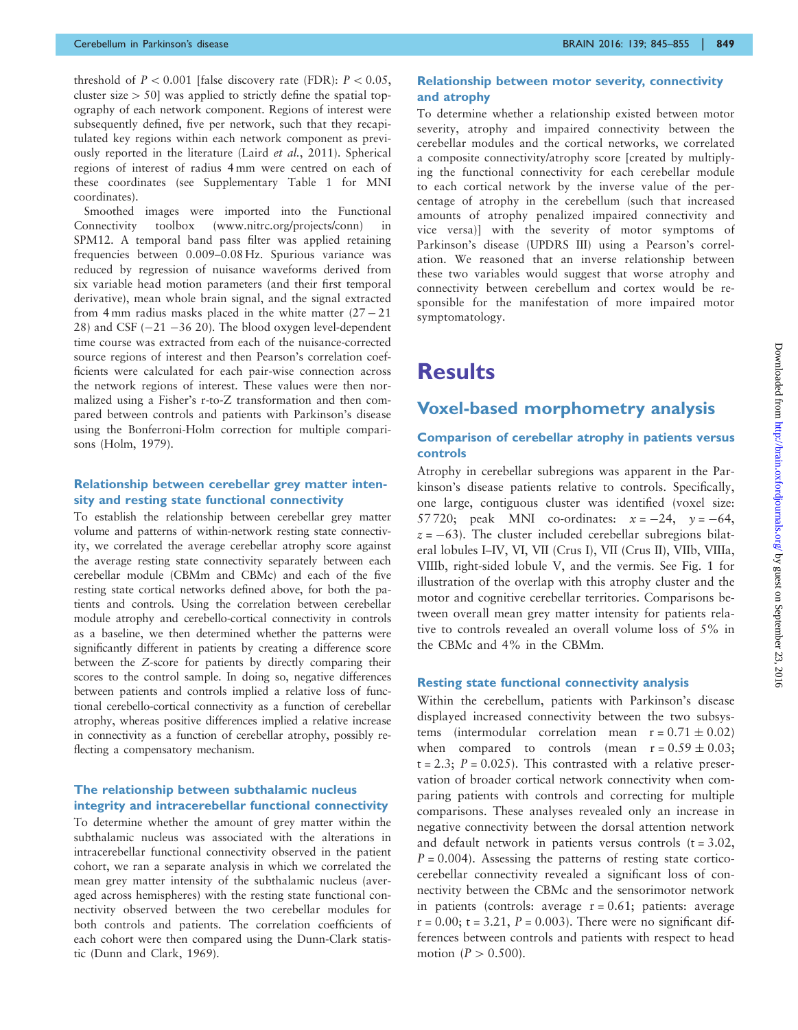threshold of  $P < 0.001$  [false discovery rate (FDR):  $P < 0.05$ , cluster size  $> 50$ ] was applied to strictly define the spatial topography of each network component. Regions of interest were subsequently defined, five per network, such that they recapitulated key regions within each network component as previously reported in the literature (Laird et al.[, 2011](#page-9-0)). Spherical regions of interest of radius 4 mm were centred on each of these coordinates (see [Supplementary Table 1](http://brain.oxfordjournals.org/lookup/suppl/doi:10.1093/brain/awv399/-/DC1) for MNI coordinates).

Smoothed images were imported into the Functional Connectivity toolbox (<www.nitrc.org/projects/conn>) in SPM12. A temporal band pass filter was applied retaining frequencies between 0.009–0.08 Hz. Spurious variance was reduced by regression of nuisance waveforms derived from six variable head motion parameters (and their first temporal derivative), mean whole brain signal, and the signal extracted from 4 mm radius masks placed in the white matter  $(27 - 21)$ 28) and CSF (-21 -36 20). The blood oxygen level-dependent time course was extracted from each of the nuisance-corrected source regions of interest and then Pearson's correlation coefficients were calculated for each pair-wise connection across the network regions of interest. These values were then normalized using a Fisher's r-to-Z transformation and then compared between controls and patients with Parkinson's disease using the Bonferroni-Holm correction for multiple comparisons ([Holm, 1979](#page-9-0)).

#### Relationship between cerebellar grey matter intensity and resting state functional connectivity

To establish the relationship between cerebellar grey matter volume and patterns of within-network resting state connectivity, we correlated the average cerebellar atrophy score against the average resting state connectivity separately between each cerebellar module (CBMm and CBMc) and each of the five resting state cortical networks defined above, for both the patients and controls. Using the correlation between cerebellar module atrophy and cerebello-cortical connectivity in controls as a baseline, we then determined whether the patterns were significantly different in patients by creating a difference score between the Z-score for patients by directly comparing their scores to the control sample. In doing so, negative differences between patients and controls implied a relative loss of functional cerebello-cortical connectivity as a function of cerebellar atrophy, whereas positive differences implied a relative increase in connectivity as a function of cerebellar atrophy, possibly reflecting a compensatory mechanism.

#### The relationship between subthalamic nucleus integrity and intracerebellar functional connectivity

To determine whether the amount of grey matter within the subthalamic nucleus was associated with the alterations in intracerebellar functional connectivity observed in the patient cohort, we ran a separate analysis in which we correlated the mean grey matter intensity of the subthalamic nucleus (averaged across hemispheres) with the resting state functional connectivity observed between the two cerebellar modules for both controls and patients. The correlation coefficients of each cohort were then compared using the Dunn-Clark statistic [\(Dunn and Clark, 1969](#page-9-0)).

#### Relationship between motor severity, connectivity and atrophy

To determine whether a relationship existed between motor severity, atrophy and impaired connectivity between the cerebellar modules and the cortical networks, we correlated a composite connectivity/atrophy score [created by multiplying the functional connectivity for each cerebellar module to each cortical network by the inverse value of the percentage of atrophy in the cerebellum (such that increased amounts of atrophy penalized impaired connectivity and vice versa)] with the severity of motor symptoms of Parkinson's disease (UPDRS III) using a Pearson's correlation. We reasoned that an inverse relationship between these two variables would suggest that worse atrophy and connectivity between cerebellum and cortex would be responsible for the manifestation of more impaired motor symptomatology.

## **Results**

### Voxel-based morphometry analysis

#### Comparison of cerebellar atrophy in patients versus controls

Atrophy in cerebellar subregions was apparent in the Parkinson's disease patients relative to controls. Specifically, one large, contiguous cluster was identified (voxel size: 57 720; peak MNI co-ordinates:  $x = -24$ ,  $y = -64$ ,  $z = -63$ ). The cluster included cerebellar subregions bilateral lobules I–IV, VI, VII (Crus I), VII (Crus II), VIIb, VIIIa, VIIIb, right-sided lobule V, and the vermis. See [Fig. 1](#page-5-0) for illustration of the overlap with this atrophy cluster and the motor and cognitive cerebellar territories. Comparisons between overall mean grey matter intensity for patients relative to controls revealed an overall volume loss of 5% in the CBMc and 4% in the CBMm.

#### Resting state functional connectivity analysis

Within the cerebellum, patients with Parkinson's disease displayed increased connectivity between the two subsystems (intermodular correlation mean  $r = 0.71 \pm 0.02$ ) when compared to controls (mean  $r = 0.59 \pm 0.03$ ;  $t = 2.3$ ;  $P = 0.025$ ). This contrasted with a relative preservation of broader cortical network connectivity when comparing patients with controls and correcting for multiple comparisons. These analyses revealed only an increase in negative connectivity between the dorsal attention network and default network in patients versus controls  $(t = 3.02,$  $P = 0.004$ ). Assessing the patterns of resting state corticocerebellar connectivity revealed a significant loss of connectivity between the CBMc and the sensorimotor network in patients (controls: average  $r = 0.61$ ; patients: average  $r = 0.00$ ;  $t = 3.21$ ,  $P = 0.003$ ). There were no significant differences between controls and patients with respect to head motion ( $P > 0.500$ ).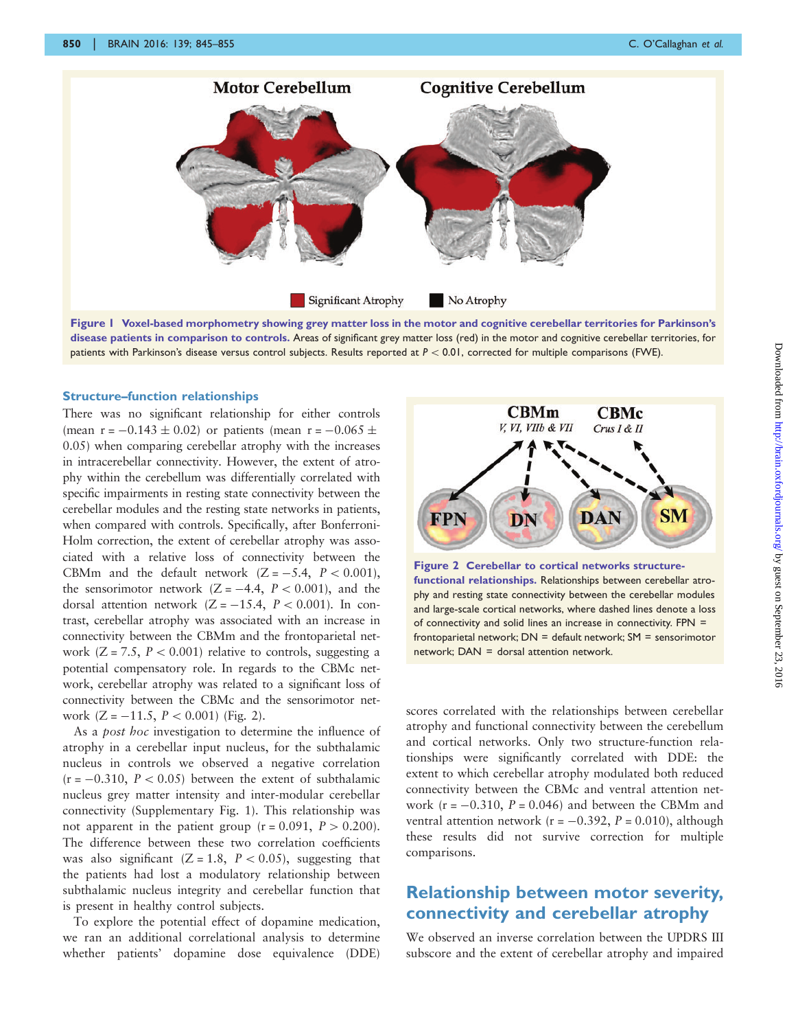<span id="page-5-0"></span>

Figure 1 Voxel-based morphometry showing grey matter loss in the motor and cognitive cerebellar territories for Parkinson's disease patients in comparison to controls. Areas of significant grey matter loss (red) in the motor and cognitive cerebellar territories, for patients with Parkinson's disease versus control subjects. Results reported at  $P < 0.01$ , corrected for multiple comparisons (FWE).

#### Structure–function relationships

There was no significant relationship for either controls (mean  $r = -0.143 \pm 0.02$ ) or patients (mean  $r = -0.065 \pm 0.02$ ) 0.05) when comparing cerebellar atrophy with the increases in intracerebellar connectivity. However, the extent of atrophy within the cerebellum was differentially correlated with specific impairments in resting state connectivity between the cerebellar modules and the resting state networks in patients, when compared with controls. Specifically, after Bonferroni-Holm correction, the extent of cerebellar atrophy was associated with a relative loss of connectivity between the CBMm and the default network  $(Z = -5.4, P < 0.001)$ , the sensorimotor network  $(Z = -4.4, P < 0.001)$ , and the dorsal attention network  $(Z = -15.4, P < 0.001)$ . In contrast, cerebellar atrophy was associated with an increase in connectivity between the CBMm and the frontoparietal network ( $Z = 7.5$ ,  $P < 0.001$ ) relative to controls, suggesting a potential compensatory role. In regards to the CBMc network, cerebellar atrophy was related to a significant loss of connectivity between the CBMc and the sensorimotor network  $(Z = -11.5, P < 0.001)$  (Fig. 2).

As a post hoc investigation to determine the influence of atrophy in a cerebellar input nucleus, for the subthalamic nucleus in controls we observed a negative correlation  $(r = -0.310, P < 0.05)$  between the extent of subthalamic nucleus grey matter intensity and inter-modular cerebellar connectivity [\(Supplementary Fig. 1](http://brain.oxfordjournals.org/lookup/suppl/doi:10.1093/brain/awv399/-/DC1)). This relationship was not apparent in the patient group  $(r = 0.091, P > 0.200)$ . The difference between these two correlation coefficients was also significant ( $Z = 1.8$ ,  $P < 0.05$ ), suggesting that the patients had lost a modulatory relationship between subthalamic nucleus integrity and cerebellar function that is present in healthy control subjects.

To explore the potential effect of dopamine medication, we ran an additional correlational analysis to determine whether patients' dopamine dose equivalence (DDE)



Figure 2 Cerebellar to cortical networks structurefunctional relationships. Relationships between cerebellar atrophy and resting state connectivity between the cerebellar modules and large-scale cortical networks, where dashed lines denote a loss of connectivity and solid lines an increase in connectivity. FPN = frontoparietal network;  $DN =$  default network;  $SM =$  sensorimotor network; DAN = dorsal attention network.

scores correlated with the relationships between cerebellar atrophy and functional connectivity between the cerebellum and cortical networks. Only two structure-function relationships were significantly correlated with DDE: the extent to which cerebellar atrophy modulated both reduced connectivity between the CBMc and ventral attention network  $(r = -0.310, P = 0.046)$  and between the CBMm and ventral attention network ( $r = -0.392$ ,  $P = 0.010$ ), although these results did not survive correction for multiple comparisons.

### Relationship between motor severity, connectivity and cerebellar atrophy

We observed an inverse correlation between the UPDRS III subscore and the extent of cerebellar atrophy and impaired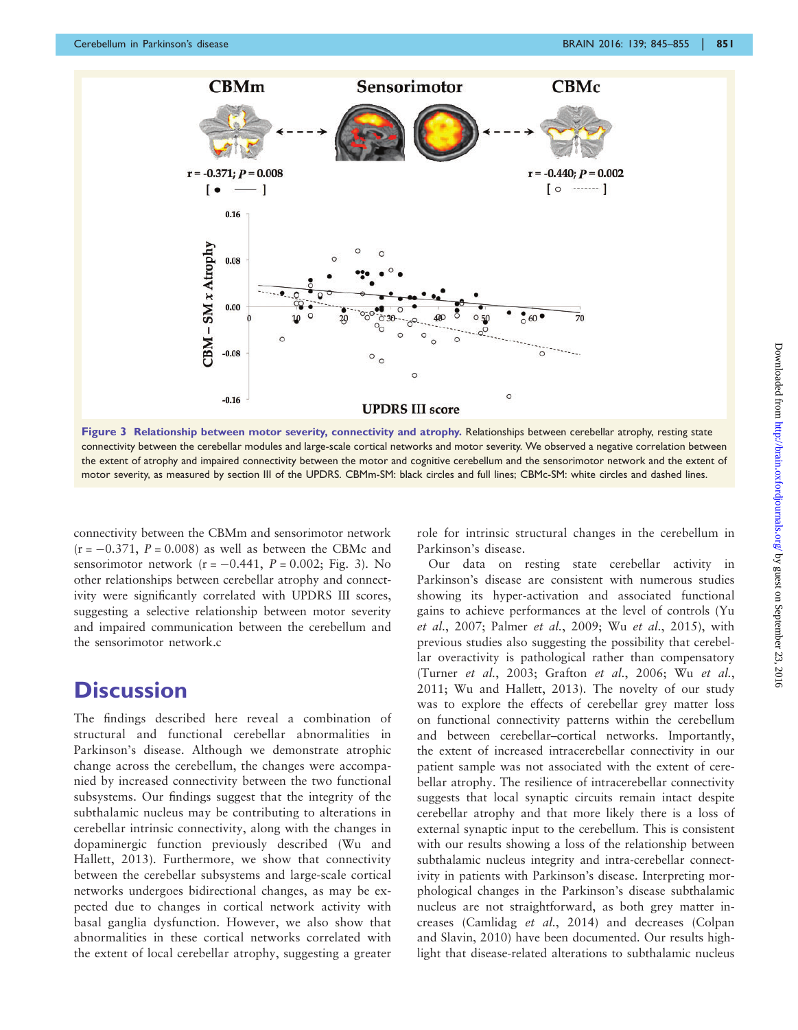<span id="page-6-0"></span>

Figure 3 Relationship between motor severity, connectivity and atrophy. Relationships between cerebellar atrophy, resting state connectivity between the cerebellar modules and large-scale cortical networks and motor severity. We observed a negative correlation between the extent of atrophy and impaired connectivity between the motor and cognitive cerebellum and the sensorimotor network and the extent of motor severity, as measured by section III of the UPDRS. CBMm-SM: black circles and full lines; CBMc-SM: white circles and dashed lines.

connectivity between the CBMm and sensorimotor network  $(r = -0.371, P = 0.008)$  as well as between the CBMc and sensorimotor network  $(r = -0.441, P = 0.002; Fig. 3)$ . No other relationships between cerebellar atrophy and connectivity were significantly correlated with UPDRS III scores, suggesting a selective relationship between motor severity and impaired communication between the cerebellum and the sensorimotor network.c

## **Discussion**

The findings described here reveal a combination of structural and functional cerebellar abnormalities in Parkinson's disease. Although we demonstrate atrophic change across the cerebellum, the changes were accompanied by increased connectivity between the two functional subsystems. Our findings suggest that the integrity of the subthalamic nucleus may be contributing to alterations in cerebellar intrinsic connectivity, along with the changes in dopaminergic function previously described ([Wu and](#page-10-0) [Hallett, 2013](#page-10-0)). Furthermore, we show that connectivity between the cerebellar subsystems and large-scale cortical networks undergoes bidirectional changes, as may be expected due to changes in cortical network activity with basal ganglia dysfunction. However, we also show that abnormalities in these cortical networks correlated with the extent of local cerebellar atrophy, suggesting a greater role for intrinsic structural changes in the cerebellum in Parkinson's disease.

Our data on resting state cerebellar activity in Parkinson's disease are consistent with numerous studies showing its hyper-activation and associated functional gains to achieve performances at the level of controls [\(Yu](#page-10-0) et al.[, 2007](#page-10-0); [Palmer](#page-10-0) et al., 2009; Wu et al.[, 2015](#page-10-0)), with previous studies also suggesting the possibility that cerebellar overactivity is pathological rather than compensatory (Turner et al.[, 2003](#page-10-0); [Grafton](#page-9-0) et al., 2006; Wu [et al.](#page-10-0), [2011](#page-10-0); [Wu and Hallett, 2013\)](#page-10-0). The novelty of our study was to explore the effects of cerebellar grey matter loss on functional connectivity patterns within the cerebellum and between cerebellar–cortical networks. Importantly, the extent of increased intracerebellar connectivity in our patient sample was not associated with the extent of cerebellar atrophy. The resilience of intracerebellar connectivity suggests that local synaptic circuits remain intact despite cerebellar atrophy and that more likely there is a loss of external synaptic input to the cerebellum. This is consistent with our results showing a loss of the relationship between subthalamic nucleus integrity and intra-cerebellar connectivity in patients with Parkinson's disease. Interpreting morphological changes in the Parkinson's disease subthalamic nucleus are not straightforward, as both grey matter increases [\(Camlidag](#page-9-0) et al., 2014) and decreases ([Colpan](#page-9-0) [and Slavin, 2010\)](#page-9-0) have been documented. Our results highlight that disease-related alterations to subthalamic nucleus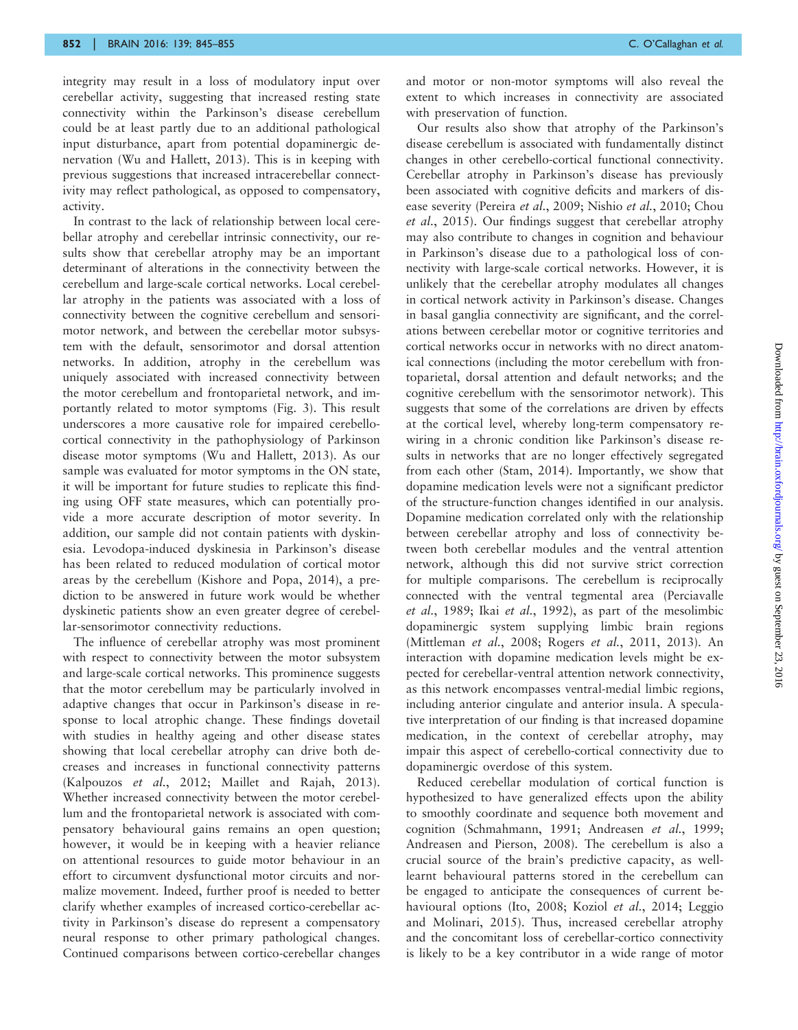integrity may result in a loss of modulatory input over cerebellar activity, suggesting that increased resting state connectivity within the Parkinson's disease cerebellum could be at least partly due to an additional pathological input disturbance, apart from potential dopaminergic denervation ([Wu and Hallett, 2013](#page-10-0)). This is in keeping with previous suggestions that increased intracerebellar connectivity may reflect pathological, as opposed to compensatory, activity.

In contrast to the lack of relationship between local cerebellar atrophy and cerebellar intrinsic connectivity, our results show that cerebellar atrophy may be an important determinant of alterations in the connectivity between the cerebellum and large-scale cortical networks. Local cerebellar atrophy in the patients was associated with a loss of connectivity between the cognitive cerebellum and sensorimotor network, and between the cerebellar motor subsystem with the default, sensorimotor and dorsal attention networks. In addition, atrophy in the cerebellum was uniquely associated with increased connectivity between the motor cerebellum and frontoparietal network, and importantly related to motor symptoms ([Fig. 3\)](#page-6-0). This result underscores a more causative role for impaired cerebellocortical connectivity in the pathophysiology of Parkinson disease motor symptoms ([Wu and Hallett, 2013](#page-10-0)). As our sample was evaluated for motor symptoms in the ON state, it will be important for future studies to replicate this finding using OFF state measures, which can potentially provide a more accurate description of motor severity. In addition, our sample did not contain patients with dyskinesia. Levodopa-induced dyskinesia in Parkinson's disease has been related to reduced modulation of cortical motor areas by the cerebellum ([Kishore and Popa, 2014](#page-9-0)), a prediction to be answered in future work would be whether dyskinetic patients show an even greater degree of cerebellar-sensorimotor connectivity reductions.

The influence of cerebellar atrophy was most prominent with respect to connectivity between the motor subsystem and large-scale cortical networks. This prominence suggests that the motor cerebellum may be particularly involved in adaptive changes that occur in Parkinson's disease in response to local atrophic change. These findings dovetail with studies in healthy ageing and other disease states showing that local cerebellar atrophy can drive both decreases and increases in functional connectivity patterns [\(Kalpouzos](#page-9-0) et al., 2012; [Maillet and Rajah, 2013\)](#page-9-0). Whether increased connectivity between the motor cerebellum and the frontoparietal network is associated with compensatory behavioural gains remains an open question; however, it would be in keeping with a heavier reliance on attentional resources to guide motor behaviour in an effort to circumvent dysfunctional motor circuits and normalize movement. Indeed, further proof is needed to better clarify whether examples of increased cortico-cerebellar activity in Parkinson's disease do represent a compensatory neural response to other primary pathological changes. Continued comparisons between cortico-cerebellar changes

and motor or non-motor symptoms will also reveal the extent to which increases in connectivity are associated with preservation of function.

Our results also show that atrophy of the Parkinson's disease cerebellum is associated with fundamentally distinct changes in other cerebello-cortical functional connectivity. Cerebellar atrophy in Parkinson's disease has previously been associated with cognitive deficits and markers of disease severity [\(Pereira](#page-10-0) et al., 2009; [Nishio](#page-10-0) et al., 2010; [Chou](#page-9-0) et al.[, 2015\)](#page-9-0). Our findings suggest that cerebellar atrophy may also contribute to changes in cognition and behaviour in Parkinson's disease due to a pathological loss of connectivity with large-scale cortical networks. However, it is unlikely that the cerebellar atrophy modulates all changes in cortical network activity in Parkinson's disease. Changes in basal ganglia connectivity are significant, and the correlations between cerebellar motor or cognitive territories and cortical networks occur in networks with no direct anatomical connections (including the motor cerebellum with frontoparietal, dorsal attention and default networks; and the cognitive cerebellum with the sensorimotor network). This suggests that some of the correlations are driven by effects at the cortical level, whereby long-term compensatory rewiring in a chronic condition like Parkinson's disease results in networks that are no longer effectively segregated from each other ([Stam, 2014](#page-10-0)). Importantly, we show that dopamine medication levels were not a significant predictor of the structure-function changes identified in our analysis. Dopamine medication correlated only with the relationship between cerebellar atrophy and loss of connectivity between both cerebellar modules and the ventral attention network, although this did not survive strict correction for multiple comparisons. The cerebellum is reciprocally connected with the ventral tegmental area ([Perciavalle](#page-10-0) et al.[, 1989](#page-10-0); Ikai et al.[, 1992](#page-9-0)), as part of the mesolimbic dopaminergic system supplying limbic brain regions [\(Mittleman](#page-10-0) *et al.*, 2008; Rogers *et al.*[, 2011, 2013](#page-10-0)). An interaction with dopamine medication levels might be expected for cerebellar-ventral attention network connectivity, as this network encompasses ventral-medial limbic regions, including anterior cingulate and anterior insula. A speculative interpretation of our finding is that increased dopamine medication, in the context of cerebellar atrophy, may impair this aspect of cerebello-cortical connectivity due to dopaminergic overdose of this system.

Reduced cerebellar modulation of cortical function is hypothesized to have generalized effects upon the ability to smoothly coordinate and sequence both movement and cognition [\(Schmahmann, 1991](#page-10-0); [Andreasen](#page-8-0) et al., 1999; [Andreasen and Pierson, 2008\)](#page-8-0). The cerebellum is also a crucial source of the brain's predictive capacity, as welllearnt behavioural patterns stored in the cerebellum can be engaged to anticipate the consequences of current be-havioural options [\(Ito, 2008;](#page-9-0) Koziol et al.[, 2014; Leggio](#page-9-0) [and Molinari, 2015\)](#page-9-0). Thus, increased cerebellar atrophy and the concomitant loss of cerebellar-cortico connectivity is likely to be a key contributor in a wide range of motor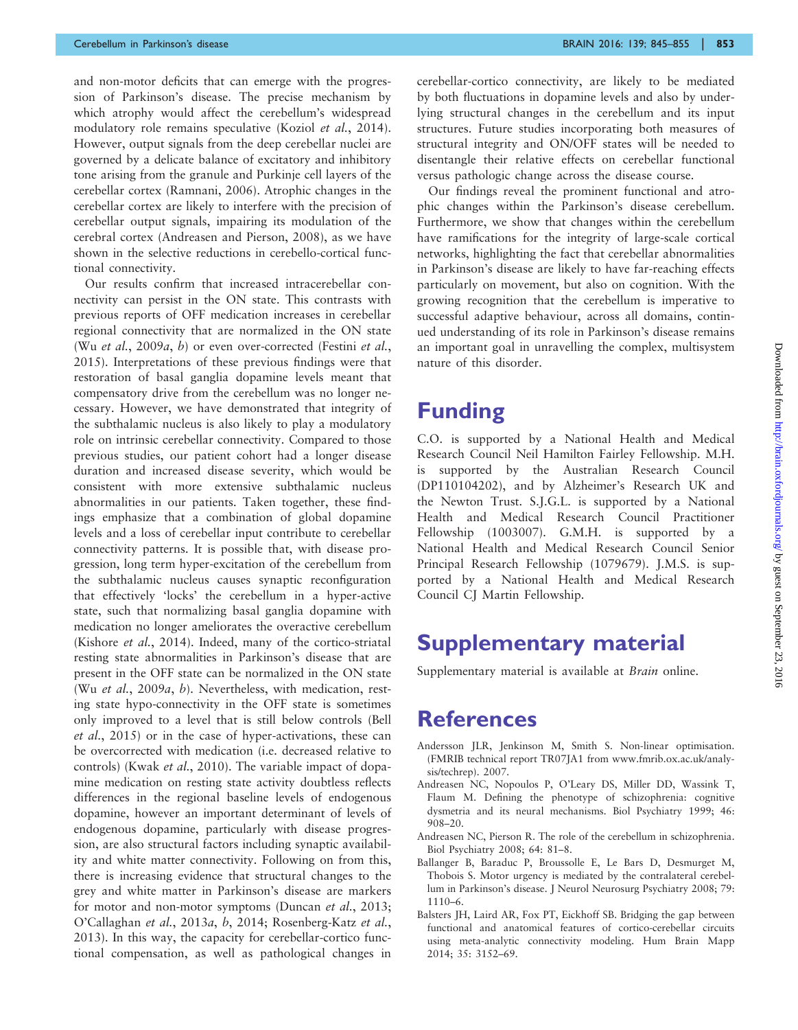<span id="page-8-0"></span>Cerebellum in Parkinson's disease BRAIN 2016: 139; 845–855 | 853

and non-motor deficits that can emerge with the progression of Parkinson's disease. The precise mechanism by which atrophy would affect the cerebellum's widespread modulatory role remains speculative (Koziol et al.[, 2014](#page-9-0)). However, output signals from the deep cerebellar nuclei are governed by a delicate balance of excitatory and inhibitory tone arising from the granule and Purkinje cell layers of the cerebellar cortex ([Ramnani, 2006](#page-10-0)). Atrophic changes in the cerebellar cortex are likely to interfere with the precision of cerebellar output signals, impairing its modulation of the cerebral cortex (Andreasen and Pierson, 2008), as we have shown in the selective reductions in cerebello-cortical functional connectivity.

Our results confirm that increased intracerebellar connectivity can persist in the ON state. This contrasts with previous reports of OFF medication increases in cerebellar regional connectivity that are normalized in the ON state (Wu et al.[, 2009](#page-10-0)a, [b](#page-10-0)) or even over-corrected [\(Festini](#page-9-0) et al., [2015\)](#page-9-0). Interpretations of these previous findings were that restoration of basal ganglia dopamine levels meant that compensatory drive from the cerebellum was no longer necessary. However, we have demonstrated that integrity of the subthalamic nucleus is also likely to play a modulatory role on intrinsic cerebellar connectivity. Compared to those previous studies, our patient cohort had a longer disease duration and increased disease severity, which would be consistent with more extensive subthalamic nucleus abnormalities in our patients. Taken together, these findings emphasize that a combination of global dopamine levels and a loss of cerebellar input contribute to cerebellar connectivity patterns. It is possible that, with disease progression, long term hyper-excitation of the cerebellum from the subthalamic nucleus causes synaptic reconfiguration that effectively 'locks' the cerebellum in a hyper-active state, such that normalizing basal ganglia dopamine with medication no longer ameliorates the overactive cerebellum ([Kishore](#page-9-0) et al., 2014). Indeed, many of the cortico-striatal resting state abnormalities in Parkinson's disease that are present in the OFF state can be normalized in the ON state (Wu et al.[, 2009](#page-10-0)a, [b](#page-10-0)). Nevertheless, with medication, resting state hypo-connectivity in the OFF state is sometimes only improved to a level that is still below controls ([Bell](#page-9-0) et al.[, 2015](#page-9-0)) or in the case of hyper-activations, these can be overcorrected with medication (i.e. decreased relative to controls) (Kwak et al.[, 2010](#page-9-0)). The variable impact of dopamine medication on resting state activity doubtless reflects differences in the regional baseline levels of endogenous dopamine, however an important determinant of levels of endogenous dopamine, particularly with disease progression, are also structural factors including synaptic availability and white matter connectivity. Following on from this, there is increasing evidence that structural changes to the grey and white matter in Parkinson's disease are markers for motor and non-motor symptoms ([Duncan](#page-9-0) *et al.*, 2013; [O'Callaghan](#page-10-0) et al., 2013a, [b](#page-10-0), [2014; Rosenberg-Katz](#page-10-0) et al., [2013\)](#page-10-0). In this way, the capacity for cerebellar-cortico functional compensation, as well as pathological changes in

cerebellar-cortico connectivity, are likely to be mediated by both fluctuations in dopamine levels and also by underlying structural changes in the cerebellum and its input structures. Future studies incorporating both measures of structural integrity and ON/OFF states will be needed to disentangle their relative effects on cerebellar functional versus pathologic change across the disease course.

Our findings reveal the prominent functional and atrophic changes within the Parkinson's disease cerebellum. Furthermore, we show that changes within the cerebellum have ramifications for the integrity of large-scale cortical networks, highlighting the fact that cerebellar abnormalities in Parkinson's disease are likely to have far-reaching effects particularly on movement, but also on cognition. With the growing recognition that the cerebellum is imperative to successful adaptive behaviour, across all domains, continued understanding of its role in Parkinson's disease remains an important goal in unravelling the complex, multisystem nature of this disorder.

## Funding

C.O. is supported by a National Health and Medical Research Council Neil Hamilton Fairley Fellowship. M.H. is supported by the Australian Research Council (DP110104202), and by Alzheimer's Research UK and the Newton Trust. S.J.G.L. is supported by a National Health and Medical Research Council Practitioner Fellowship (1003007). G.M.H. is supported by a National Health and Medical Research Council Senior Principal Research Fellowship (1079679). J.M.S. is supported by a National Health and Medical Research Council CJ Martin Fellowship.

## Supplementary material

[Supplementary material](http://brain.oxfordjournals.org/lookup/suppl/doi:10.1093/brain/awv399/-/DC1) is available at Brain online.

## **References**

- Andersson JLR, Jenkinson M, Smith S. Non-linear optimisation. (FMRIB technical report TR07JA1 from [www.fmrib.ox.ac.uk/analy](www.fmrib.ox.ac.uk/analysis/techrep)[sis/techrep\)](www.fmrib.ox.ac.uk/analysis/techrep). 2007.
- Andreasen NC, Nopoulos P, O'Leary DS, Miller DD, Wassink T, Flaum M. Defining the phenotype of schizophrenia: cognitive dysmetria and its neural mechanisms. Biol Psychiatry 1999; 46: 908–20.
- Andreasen NC, Pierson R. The role of the cerebellum in schizophrenia. Biol Psychiatry 2008; 64: 81–8.
- Ballanger B, Baraduc P, Broussolle E, Le Bars D, Desmurget M, Thobois S. Motor urgency is mediated by the contralateral cerebellum in Parkinson's disease. J Neurol Neurosurg Psychiatry 2008; 79: 1110–6.
- Balsters JH, Laird AR, Fox PT, Eickhoff SB. Bridging the gap between functional and anatomical features of cortico-cerebellar circuits using meta-analytic connectivity modeling. Hum Brain Mapp 2014; 35: 3152–69.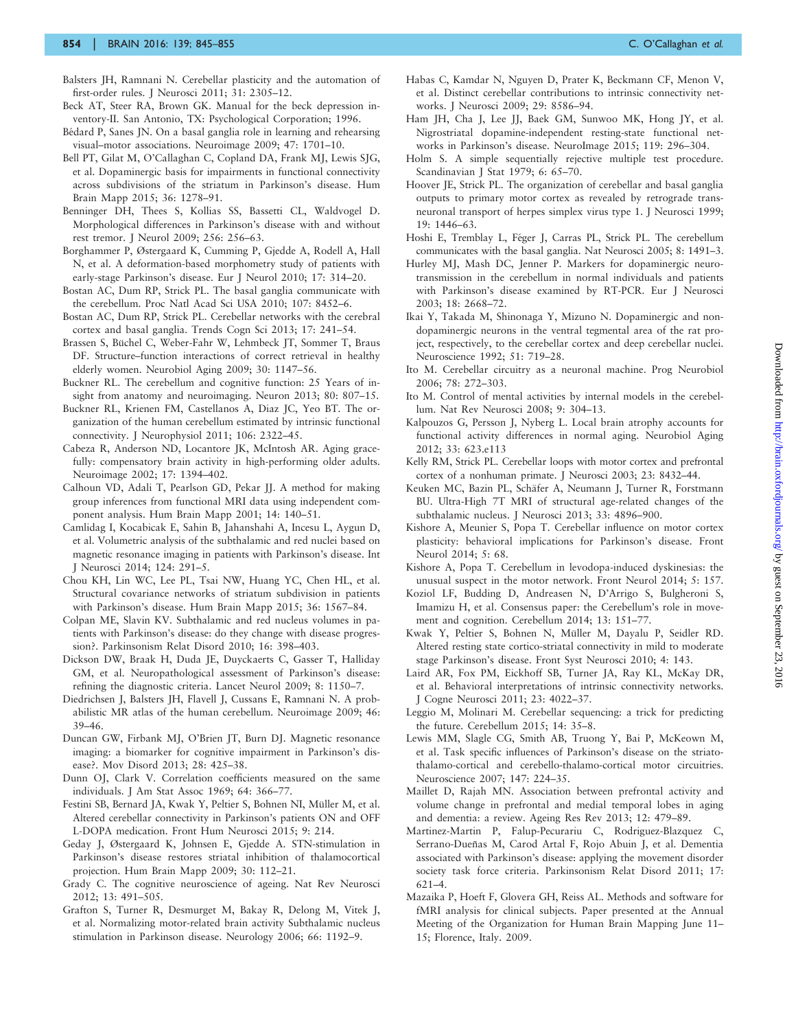- <span id="page-9-0"></span>Balsters JH, Ramnani N. Cerebellar plasticity and the automation of first-order rules. J Neurosci 2011; 31: 2305–12.
- Beck AT, Steer RA, Brown GK. Manual for the beck depression inventory-II. San Antonio, TX: Psychological Corporation; 1996.
- Bédard P, Sanes JN. On a basal ganglia role in learning and rehearsing visual–motor associations. Neuroimage 2009; 47: 1701–10.
- Bell PT, Gilat M, O'Callaghan C, Copland DA, Frank MJ, Lewis SJG, et al. Dopaminergic basis for impairments in functional connectivity across subdivisions of the striatum in Parkinson's disease. Hum Brain Mapp 2015; 36: 1278–91.
- Benninger DH, Thees S, Kollias SS, Bassetti CL, Waldvogel D. Morphological differences in Parkinson's disease with and without rest tremor. J Neurol 2009; 256: 256–63.
- Borghammer P, Østergaard K, Cumming P, Gjedde A, Rodell A, Hall N, et al. A deformation-based morphometry study of patients with early-stage Parkinson's disease. Eur J Neurol 2010; 17: 314–20.
- Bostan AC, Dum RP, Strick PL. The basal ganglia communicate with the cerebellum. Proc Natl Acad Sci USA 2010; 107: 8452–6.
- Bostan AC, Dum RP, Strick PL. Cerebellar networks with the cerebral cortex and basal ganglia. Trends Cogn Sci 2013; 17: 241–54.
- Brassen S, Büchel C, Weber-Fahr W, Lehmbeck JT, Sommer T, Braus DF. Structure–function interactions of correct retrieval in healthy elderly women. Neurobiol Aging 2009; 30: 1147–56.
- Buckner RL. The cerebellum and cognitive function: 25 Years of insight from anatomy and neuroimaging. Neuron 2013; 80: 807–15.
- Buckner RL, Krienen FM, Castellanos A, Diaz JC, Yeo BT. The organization of the human cerebellum estimated by intrinsic functional connectivity. J Neurophysiol 2011; 106: 2322–45.
- Cabeza R, Anderson ND, Locantore JK, McIntosh AR. Aging gracefully: compensatory brain activity in high-performing older adults. Neuroimage 2002; 17: 1394–402.
- Calhoun VD, Adali T, Pearlson GD, Pekar JJ. A method for making group inferences from functional MRI data using independent component analysis. Hum Brain Mapp 2001; 14: 140–51.
- Camlidag I, Kocabicak E, Sahin B, Jahanshahi A, Incesu L, Aygun D, et al. Volumetric analysis of the subthalamic and red nuclei based on magnetic resonance imaging in patients with Parkinson's disease. Int J Neurosci 2014; 124: 291–5.
- Chou KH, Lin WC, Lee PL, Tsai NW, Huang YC, Chen HL, et al. Structural covariance networks of striatum subdivision in patients with Parkinson's disease. Hum Brain Mapp 2015; 36: 1567–84.
- Colpan ME, Slavin KV. Subthalamic and red nucleus volumes in patients with Parkinson's disease: do they change with disease progression?. Parkinsonism Relat Disord 2010; 16: 398–403.
- Dickson DW, Braak H, Duda JE, Duyckaerts C, Gasser T, Halliday GM, et al. Neuropathological assessment of Parkinson's disease: refining the diagnostic criteria. Lancet Neurol 2009; 8: 1150–7.
- Diedrichsen J, Balsters JH, Flavell J, Cussans E, Ramnani N. A probabilistic MR atlas of the human cerebellum. Neuroimage 2009; 46: 39–46.
- Duncan GW, Firbank MJ, O'Brien JT, Burn DJ. Magnetic resonance imaging: a biomarker for cognitive impairment in Parkinson's disease?. Mov Disord 2013; 28: 425–38.
- Dunn OJ, Clark V. Correlation coefficients measured on the same individuals. J Am Stat Assoc 1969; 64: 366–77.
- Festini SB, Bernard JA, Kwak Y, Peltier S, Bohnen NI, Müller M, et al. Altered cerebellar connectivity in Parkinson's patients ON and OFF L-DOPA medication. Front Hum Neurosci 2015; 9: 214.
- Geday J, Østergaard K, Johnsen E, Gjedde A. STN-stimulation in Parkinson's disease restores striatal inhibition of thalamocortical projection. Hum Brain Mapp 2009; 30: 112–21.
- Grady C. The cognitive neuroscience of ageing. Nat Rev Neurosci 2012; 13: 491–505.
- Grafton S, Turner R, Desmurget M, Bakay R, Delong M, Vitek J, et al. Normalizing motor-related brain activity Subthalamic nucleus stimulation in Parkinson disease. Neurology 2006; 66: 1192–9.
- Habas C, Kamdar N, Nguyen D, Prater K, Beckmann CF, Menon V, et al. Distinct cerebellar contributions to intrinsic connectivity networks. J Neurosci 2009; 29: 8586–94.
- Ham JH, Cha J, Lee JJ, Baek GM, Sunwoo MK, Hong JY, et al. Nigrostriatal dopamine-independent resting-state functional networks in Parkinson's disease. NeuroImage 2015; 119: 296–304.
- Holm S. A simple sequentially rejective multiple test procedure. Scandinavian J Stat 1979; 6: 65-70.
- Hoover JE, Strick PL. The organization of cerebellar and basal ganglia outputs to primary motor cortex as revealed by retrograde transneuronal transport of herpes simplex virus type 1. J Neurosci 1999; 19: 1446–63.
- Hoshi E, Tremblay L, Féger J, Carras PL, Strick PL. The cerebellum communicates with the basal ganglia. Nat Neurosci 2005; 8: 1491–3.
- Hurley MJ, Mash DC, Jenner P. Markers for dopaminergic neurotransmission in the cerebellum in normal individuals and patients with Parkinson's disease examined by RT-PCR. Eur J Neurosci 2003; 18: 2668–72.
- Ikai Y, Takada M, Shinonaga Y, Mizuno N. Dopaminergic and nondopaminergic neurons in the ventral tegmental area of the rat project, respectively, to the cerebellar cortex and deep cerebellar nuclei. Neuroscience 1992; 51: 719–28.
- Ito M. Cerebellar circuitry as a neuronal machine. Prog Neurobiol 2006; 78: 272–303.
- Ito M. Control of mental activities by internal models in the cerebellum. Nat Rev Neurosci 2008; 9: 304–13.
- Kalpouzos G, Persson J, Nyberg L. Local brain atrophy accounts for functional activity differences in normal aging. Neurobiol Aging 2012; 33: 623.e113
- Kelly RM, Strick PL. Cerebellar loops with motor cortex and prefrontal cortex of a nonhuman primate. J Neurosci 2003; 23: 8432–44.
- Keuken MC, Bazin PL, Schäfer A, Neumann J, Turner R, Forstmann BU. Ultra-High 7T MRI of structural age-related changes of the subthalamic nucleus. J Neurosci 2013; 33: 4896-900.
- Kishore A, Meunier S, Popa T. Cerebellar influence on motor cortex plasticity: behavioral implications for Parkinson's disease. Front Neurol 2014; 5: 68.
- Kishore A, Popa T. Cerebellum in levodopa-induced dyskinesias: the unusual suspect in the motor network. Front Neurol 2014; 5: 157.
- Koziol LF, Budding D, Andreasen N, D'Arrigo S, Bulgheroni S, Imamizu H, et al. Consensus paper: the Cerebellum's role in movement and cognition. Cerebellum 2014; 13: 151–77.
- Kwak Y, Peltier S, Bohnen N, Müller M, Dayalu P, Seidler RD. Altered resting state cortico-striatal connectivity in mild to moderate stage Parkinson's disease. Front Syst Neurosci 2010; 4: 143.
- Laird AR, Fox PM, Eickhoff SB, Turner JA, Ray KL, McKay DR, et al. Behavioral interpretations of intrinsic connectivity networks. J Cogne Neurosci 2011; 23: 4022–37.
- Leggio M, Molinari M. Cerebellar sequencing: a trick for predicting the future. Cerebellum 2015; 14: 35–8.
- Lewis MM, Slagle CG, Smith AB, Truong Y, Bai P, McKeown M, et al. Task specific influences of Parkinson's disease on the striatothalamo-cortical and cerebello-thalamo-cortical motor circuitries. Neuroscience 2007; 147: 224–35.
- Maillet D, Rajah MN. Association between prefrontal activity and volume change in prefrontal and medial temporal lobes in aging and dementia: a review. Ageing Res Rev 2013; 12: 479–89.
- Martinez-Martin P, Falup-Pecurariu C, Rodriguez-Blazquez C, Serrano-Dueñas M, Carod Artal F, Rojo Abuin J, et al. Dementia associated with Parkinson's disease: applying the movement disorder society task force criteria. Parkinsonism Relat Disord 2011; 17: 621–4.
- Mazaika P, Hoeft F, Glovera GH, Reiss AL. Methods and software for fMRI analysis for clinical subjects. Paper presented at the Annual Meeting of the Organization for Human Brain Mapping June 11– 15; Florence, Italy. 2009.